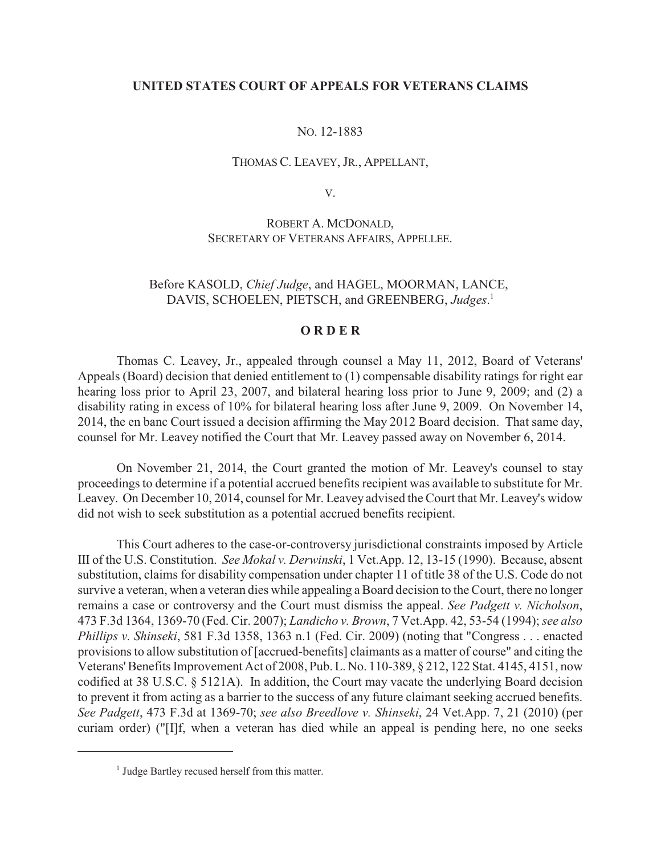## **UNITED STATES COURT OF APPEALS FOR VETERANS CLAIMS**

## NO. 12-1883

### THOMAS C. LEAVEY, JR., APPELLANT,

V.

# ROBERT A. MCDONALD, SECRETARY OF VETERANS AFFAIRS, APPELLEE.

# Before KASOLD, *Chief Judge*, and HAGEL, MOORMAN, LANCE, DAVIS, SCHOELEN, PIETSCH, and GREENBERG, *Judges*. 1

#### **O R D E R**

Thomas C. Leavey, Jr., appealed through counsel a May 11, 2012, Board of Veterans' Appeals (Board) decision that denied entitlement to (1) compensable disability ratings for right ear hearing loss prior to April 23, 2007, and bilateral hearing loss prior to June 9, 2009; and (2) a disability rating in excess of 10% for bilateral hearing loss after June 9, 2009. On November 14, 2014, the en banc Court issued a decision affirming the May 2012 Board decision. That same day, counsel for Mr. Leavey notified the Court that Mr. Leavey passed away on November 6, 2014.

On November 21, 2014, the Court granted the motion of Mr. Leavey's counsel to stay proceedings to determine if a potential accrued benefits recipient was available to substitute for Mr. Leavey. On December 10, 2014, counsel for Mr. Leavey advised the Court that Mr. Leavey's widow did not wish to seek substitution as a potential accrued benefits recipient.

This Court adheres to the case-or-controversy jurisdictional constraints imposed by Article III of the U.S. Constitution. *See Mokal v. Derwinski*, 1 Vet.App. 12, 13-15 (1990). Because, absent substitution, claims for disability compensation under chapter 11 of title 38 of the U.S. Code do not survive a veteran, when a veteran dies while appealing a Board decision to the Court, there no longer remains a case or controversy and the Court must dismiss the appeal. *See Padgett v. Nicholson*, 473 F.3d 1364, 1369-70 (Fed. Cir. 2007); *Landicho v. Brown*, 7 Vet.App. 42, 53-54 (1994); *see also Phillips v. Shinseki*, 581 F.3d 1358, 1363 n.1 (Fed. Cir. 2009) (noting that "Congress . . . enacted provisions to allow substitution of [accrued-benefits] claimants as a matter of course" and citing the Veterans' Benefits Improvement Act of 2008, Pub. L. No. 110-389, § 212, 122 Stat. 4145, 4151, now codified at 38 U.S.C. § 5121A). In addition, the Court may vacate the underlying Board decision to prevent it from acting as a barrier to the success of any future claimant seeking accrued benefits. *See Padgett*, 473 F.3d at 1369-70; *see also Breedlove v. Shinseki*, 24 Vet.App. 7, 21 (2010) (per curiam order) ("[I]f, when a veteran has died while an appeal is pending here, no one seeks

 $<sup>1</sup>$  Judge Bartley recused herself from this matter.</sup>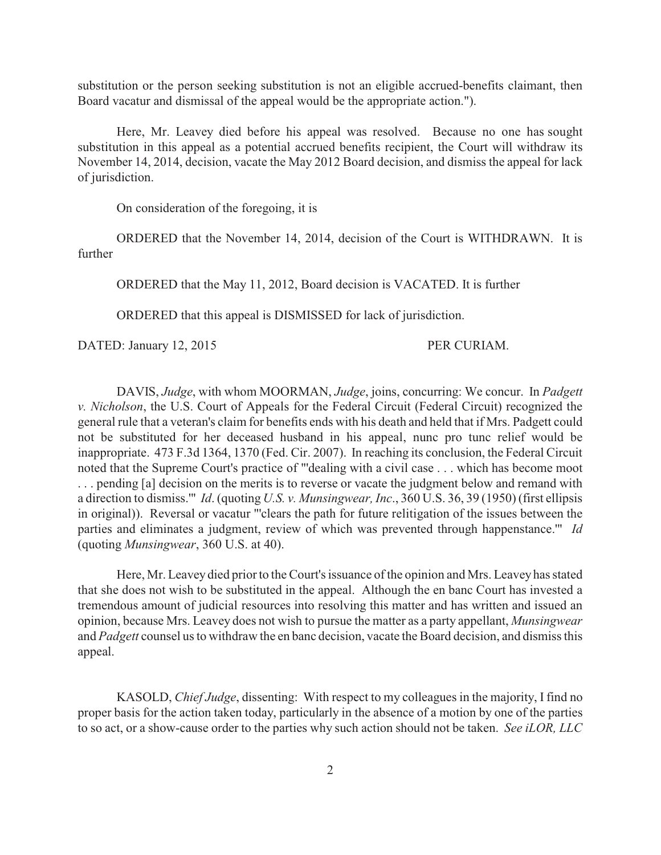substitution or the person seeking substitution is not an eligible accrued-benefits claimant, then Board vacatur and dismissal of the appeal would be the appropriate action.").

 Here, Mr. Leavey died before his appeal was resolved. Because no one has sought substitution in this appeal as a potential accrued benefits recipient, the Court will withdraw its November 14, 2014, decision, vacate the May 2012 Board decision, and dismiss the appeal for lack of jurisdiction.

On consideration of the foregoing, it is

ORDERED that the November 14, 2014, decision of the Court is WITHDRAWN. It is further

ORDERED that the May 11, 2012, Board decision is VACATED. It is further

ORDERED that this appeal is DISMISSED for lack of jurisdiction.

DATED: January 12, 2015 PER CURIAM.

DAVIS, *Judge*, with whom MOORMAN, *Judge*, joins, concurring: We concur. In *Padgett v. Nicholson*, the U.S. Court of Appeals for the Federal Circuit (Federal Circuit) recognized the general rule that a veteran's claim for benefits ends with his death and held that if Mrs. Padgett could not be substituted for her deceased husband in his appeal, nunc pro tunc relief would be inappropriate. 473 F.3d 1364, 1370 (Fed. Cir. 2007). In reaching its conclusion, the Federal Circuit noted that the Supreme Court's practice of "'dealing with a civil case . . . which has become moot . . . pending [a] decision on the merits is to reverse or vacate the judgment below and remand with a direction to dismiss.'" *Id*. (quoting *U.S. v. Munsingwear, Inc*., 360 U.S. 36, 39 (1950) (first ellipsis in original)). Reversal or vacatur "'clears the path for future relitigation of the issues between the parties and eliminates a judgment, review of which was prevented through happenstance.'" *Id* (quoting *Munsingwear*, 360 U.S. at 40).

Here, Mr. Leavey died prior to the Court's issuance of the opinion and Mrs. Leavey has stated that she does not wish to be substituted in the appeal. Although the en banc Court has invested a tremendous amount of judicial resources into resolving this matter and has written and issued an opinion, because Mrs. Leavey does not wish to pursue the matter as a party appellant, *Munsingwear* and *Padgett* counsel us to withdraw the en banc decision, vacate the Board decision, and dismiss this appeal.

KASOLD, *Chief Judge*, dissenting: With respect to my colleagues in the majority, I find no proper basis for the action taken today, particularly in the absence of a motion by one of the parties to so act, or a show-cause order to the parties why such action should not be taken. *See iLOR, LLC*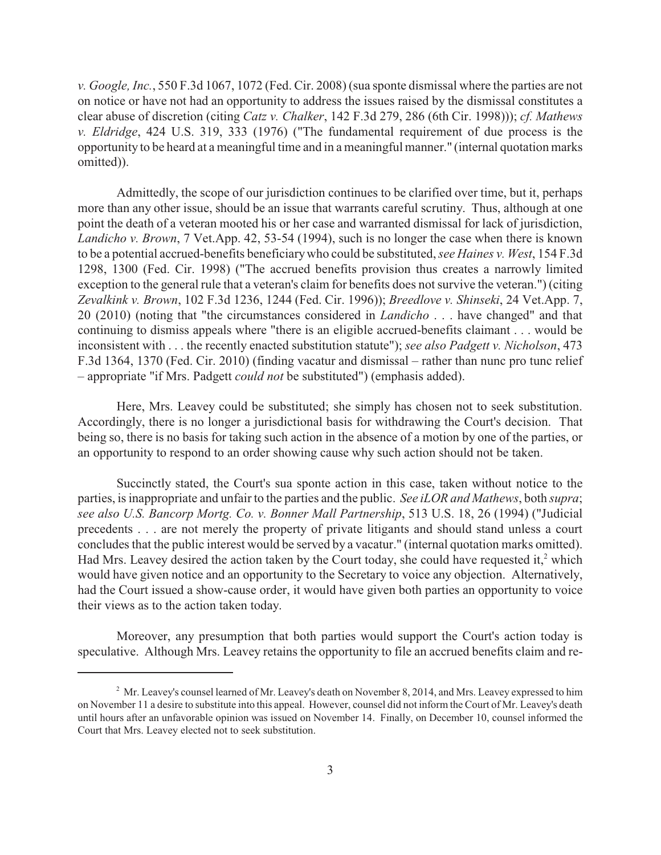*v. Google, Inc.*, 550 F.3d 1067, 1072 (Fed. Cir. 2008) (sua sponte dismissal where the parties are not on notice or have not had an opportunity to address the issues raised by the dismissal constitutes a clear abuse of discretion (citing *Catz v. Chalker*, 142 F.3d 279, 286 (6th Cir. 1998))); *cf. Mathews v. Eldridge*, 424 U.S. 319, 333 (1976) ("The fundamental requirement of due process is the opportunity to be heard at a meaningful time and in a meaningful manner." (internal quotation marks omitted)).

Admittedly, the scope of our jurisdiction continues to be clarified over time, but it, perhaps more than any other issue, should be an issue that warrants careful scrutiny. Thus, although at one point the death of a veteran mooted his or her case and warranted dismissal for lack of jurisdiction, *Landicho v. Brown*, 7 Vet.App. 42, 53-54 (1994), such is no longer the case when there is known to be a potential accrued-benefits beneficiary who could be substituted, *see Haines v. West*, 154 F.3d 1298, 1300 (Fed. Cir. 1998) ("The accrued benefits provision thus creates a narrowly limited exception to the general rule that a veteran's claim for benefits does not survive the veteran.") (citing *Zevalkink v. Brown*, 102 F.3d 1236, 1244 (Fed. Cir. 1996)); *Breedlove v. Shinseki*, 24 Vet.App. 7, 20 (2010) (noting that "the circumstances considered in *Landicho* . . . have changed" and that continuing to dismiss appeals where "there is an eligible accrued-benefits claimant . . . would be inconsistent with . . . the recently enacted substitution statute"); *see also Padgett v. Nicholson*, 473 F.3d 1364, 1370 (Fed. Cir. 2010) (finding vacatur and dismissal – rather than nunc pro tunc relief – appropriate "if Mrs. Padgett *could not* be substituted") (emphasis added).

Here, Mrs. Leavey could be substituted; she simply has chosen not to seek substitution. Accordingly, there is no longer a jurisdictional basis for withdrawing the Court's decision. That being so, there is no basis for taking such action in the absence of a motion by one of the parties, or an opportunity to respond to an order showing cause why such action should not be taken.

Succinctly stated, the Court's sua sponte action in this case, taken without notice to the parties, is inappropriate and unfair to the parties and the public. *See iLOR and Mathews*, both *supra*; *see also U.S. Bancorp Mortg. Co. v. Bonner Mall Partnership*, 513 U.S. 18, 26 (1994) ("Judicial precedents . . . are not merely the property of private litigants and should stand unless a court concludes that the public interest would be served by a vacatur." (internal quotation marks omitted). Had Mrs. Leavey desired the action taken by the Court today, she could have requested it,<sup>2</sup> which would have given notice and an opportunity to the Secretary to voice any objection. Alternatively, had the Court issued a show-cause order, it would have given both parties an opportunity to voice their views as to the action taken today.

Moreover, any presumption that both parties would support the Court's action today is speculative. Although Mrs. Leavey retains the opportunity to file an accrued benefits claim and re-

<sup>&</sup>lt;sup>2</sup> Mr. Leavey's counsel learned of Mr. Leavey's death on November 8, 2014, and Mrs. Leavey expressed to him on November 11 a desire to substitute into this appeal. However, counsel did not inform the Court of Mr. Leavey's death until hours after an unfavorable opinion was issued on November 14. Finally, on December 10, counsel informed the Court that Mrs. Leavey elected not to seek substitution.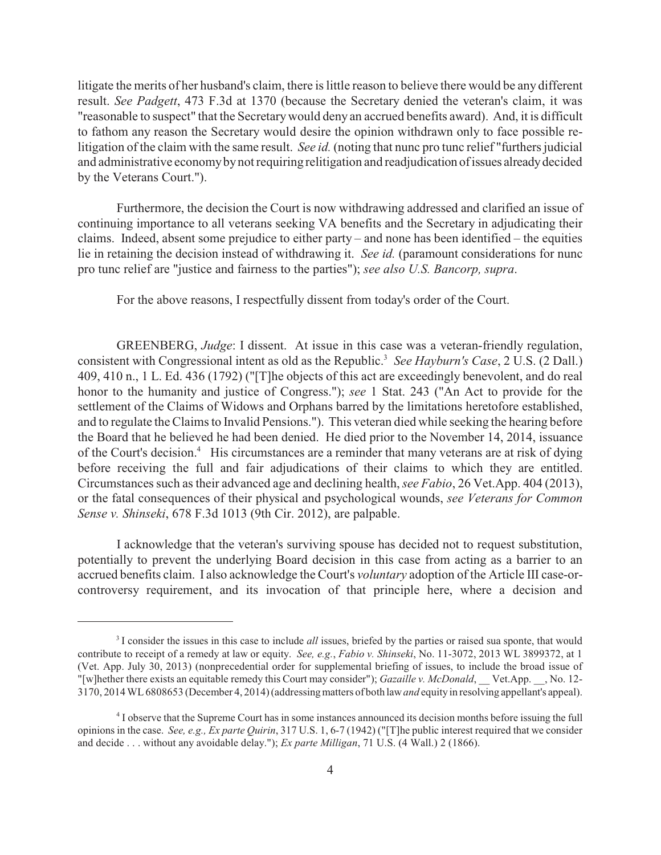litigate the merits of her husband's claim, there is little reason to believe there would be any different result. *See Padgett*, 473 F.3d at 1370 (because the Secretary denied the veteran's claim, it was "reasonable to suspect" that the Secretary would deny an accrued benefits award). And, it is difficult to fathom any reason the Secretary would desire the opinion withdrawn only to face possible relitigation of the claim with the same result. *See id.* (noting that nunc pro tunc relief "furthers judicial and administrative economy by not requiring relitigation and readjudication of issues already decided by the Veterans Court.").

Furthermore, the decision the Court is now withdrawing addressed and clarified an issue of continuing importance to all veterans seeking VA benefits and the Secretary in adjudicating their claims. Indeed, absent some prejudice to either party – and none has been identified – the equities lie in retaining the decision instead of withdrawing it. *See id.* (paramount considerations for nunc pro tunc relief are "justice and fairness to the parties"); *see also U.S. Bancorp, supra*.

For the above reasons, I respectfully dissent from today's order of the Court.

GREENBERG, *Judge*: I dissent. At issue in this case was a veteran-friendly regulation, consistent with Congressional intent as old as the Republic.<sup>3</sup> See Hayburn's Case, 2 U.S. (2 Dall.) 409, 410 n., 1 L. Ed. 436 (1792) ("[T]he objects of this act are exceedingly benevolent, and do real honor to the humanity and justice of Congress."); *see* 1 Stat. 243 ("An Act to provide for the settlement of the Claims of Widows and Orphans barred by the limitations heretofore established, and to regulate the Claims to Invalid Pensions."). This veteran died while seeking the hearing before the Board that he believed he had been denied. He died prior to the November 14, 2014, issuance of the Court's decision.<sup>4</sup> His circumstances are a reminder that many veterans are at risk of dying before receiving the full and fair adjudications of their claims to which they are entitled. Circumstances such as their advanced age and declining health, *see Fabio*, 26 Vet.App. 404 (2013), or the fatal consequences of their physical and psychological wounds, *see Veterans for Common Sense v. Shinseki*, 678 F.3d 1013 (9th Cir. 2012), are palpable.

I acknowledge that the veteran's surviving spouse has decided not to request substitution, potentially to prevent the underlying Board decision in this case from acting as a barrier to an accrued benefits claim. I also acknowledge the Court's *voluntary* adoption of the Article III case-orcontroversy requirement, and its invocation of that principle here, where a decision and

<sup>&</sup>lt;sup>3</sup>I consider the issues in this case to include *all* issues, briefed by the parties or raised sua sponte, that would contribute to receipt of a remedy at law or equity. *See, e.g.*, *Fabio v. Shinseki*, No. 11-3072, 2013 WL 3899372, at 1 (Vet. App. July 30, 2013) (nonprecedential order for supplemental briefing of issues, to include the broad issue of "[w]hether there exists an equitable remedy this Court may consider"); *Gazaille v. McDonald*, \_\_Vet.App. \_\_, No. 12-3170, 2014 WL 6808653 (December 4, 2014) (addressing matters of both law *and* equity in resolving appellant's appeal).

<sup>&</sup>lt;sup>4</sup> I observe that the Supreme Court has in some instances announced its decision months before issuing the full opinions in the case. *See, e.g., Ex parte Quirin*, 317 U.S. 1, 6-7 (1942) ("[T]he public interest required that we consider and decide . . . without any avoidable delay."); *Ex parte Milligan*, 71 U.S. (4 Wall.) 2 (1866).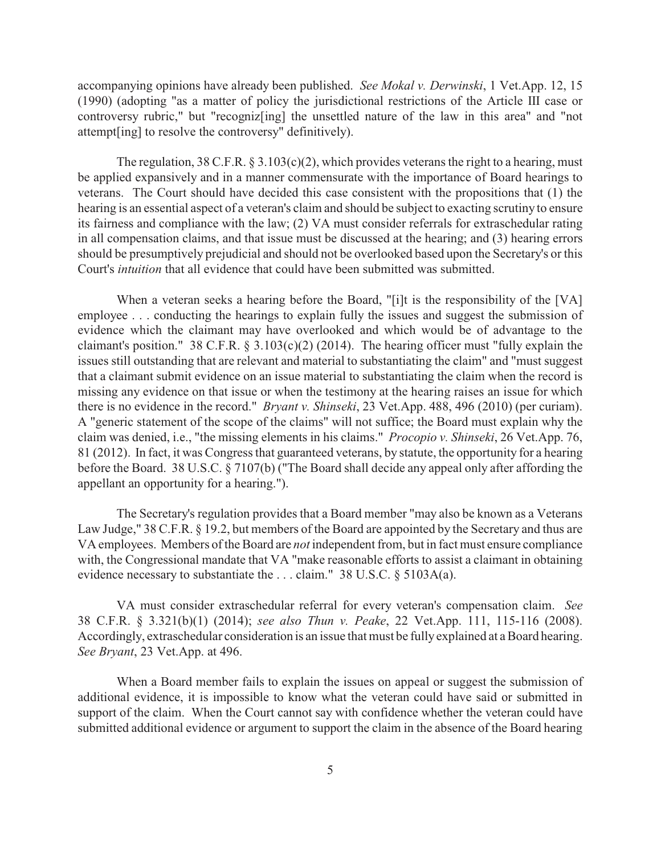accompanying opinions have already been published. *See Mokal v. Derwinski*, 1 Vet.App. 12, 15 (1990) (adopting "as a matter of policy the jurisdictional restrictions of the Article III case or controversy rubric," but "recogniz[ing] the unsettled nature of the law in this area" and "not attempt[ing] to resolve the controversy" definitively).

The regulation,  $38 \text{ C.F.R. } \frac{83.103(c)(2)}{c}$ , which provides veterans the right to a hearing, must be applied expansively and in a manner commensurate with the importance of Board hearings to veterans. The Court should have decided this case consistent with the propositions that (1) the hearing is an essential aspect of a veteran's claim and should be subject to exacting scrutiny to ensure its fairness and compliance with the law; (2) VA must consider referrals for extraschedular rating in all compensation claims, and that issue must be discussed at the hearing; and (3) hearing errors should be presumptively prejudicial and should not be overlooked based upon the Secretary's or this Court's *intuition* that all evidence that could have been submitted was submitted.

When a veteran seeks a hearing before the Board, "[i]t is the responsibility of the [VA] employee . . . conducting the hearings to explain fully the issues and suggest the submission of evidence which the claimant may have overlooked and which would be of advantage to the claimant's position." 38 C.F.R.  $\S$  3.103(c)(2) (2014). The hearing officer must "fully explain the issues still outstanding that are relevant and material to substantiating the claim" and "must suggest that a claimant submit evidence on an issue material to substantiating the claim when the record is missing any evidence on that issue or when the testimony at the hearing raises an issue for which there is no evidence in the record." *Bryant v. Shinseki*, 23 Vet.App. 488, 496 (2010) (per curiam). A "generic statement of the scope of the claims" will not suffice; the Board must explain why the claim was denied, i.e., "the missing elements in his claims." *Procopio v. Shinseki*, 26 Vet.App. 76, 81 (2012). In fact, it was Congress that guaranteed veterans, by statute, the opportunity for a hearing before the Board. 38 U.S.C. § 7107(b) ("The Board shall decide any appeal only after affording the appellant an opportunity for a hearing.").

The Secretary's regulation provides that a Board member "may also be known as a Veterans Law Judge," 38 C.F.R. § 19.2, but members of the Board are appointed by the Secretary and thus are VA employees. Members of the Board are *not* independent from, but in fact must ensure compliance with, the Congressional mandate that VA "make reasonable efforts to assist a claimant in obtaining evidence necessary to substantiate the . . . claim." 38 U.S.C. § 5103A(a).

VA must consider extraschedular referral for every veteran's compensation claim. *See* 38 C.F.R. § 3.321(b)(1) (2014); *see also Thun v. Peake*, 22 Vet.App. 111, 115-116 (2008). Accordingly, extraschedular consideration is an issue that must be fully explained at a Board hearing. *See Bryant*, 23 Vet.App. at 496.

When a Board member fails to explain the issues on appeal or suggest the submission of additional evidence, it is impossible to know what the veteran could have said or submitted in support of the claim. When the Court cannot say with confidence whether the veteran could have submitted additional evidence or argument to support the claim in the absence of the Board hearing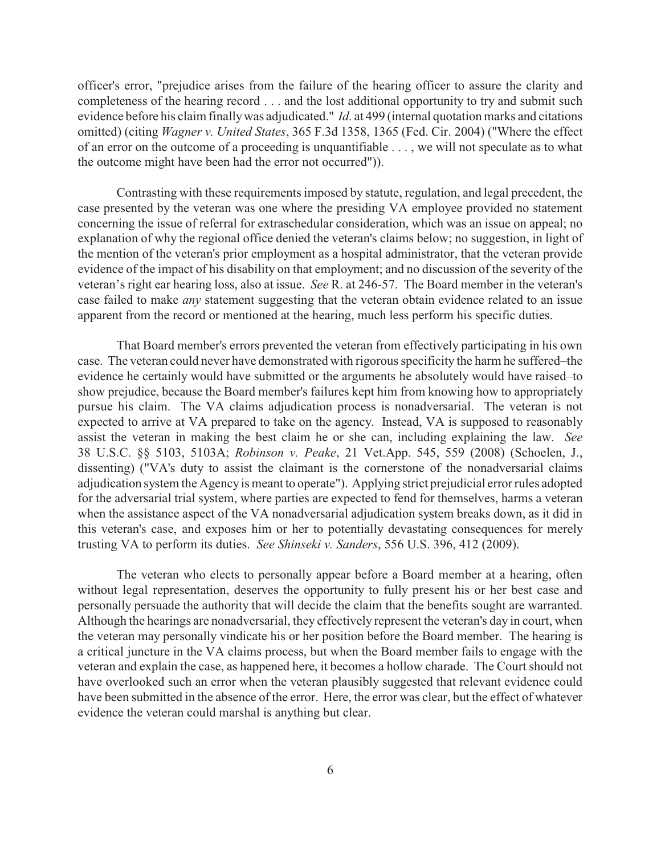officer's error, "prejudice arises from the failure of the hearing officer to assure the clarity and completeness of the hearing record . . . and the lost additional opportunity to try and submit such evidence before his claim finally was adjudicated." *Id.* at 499 (internal quotation marks and citations omitted) (citing *Wagner v. United States*, 365 F.3d 1358, 1365 (Fed. Cir. 2004) ("Where the effect of an error on the outcome of a proceeding is unquantifiable . . . , we will not speculate as to what the outcome might have been had the error not occurred")).

Contrasting with these requirements imposed by statute, regulation, and legal precedent, the case presented by the veteran was one where the presiding VA employee provided no statement concerning the issue of referral for extraschedular consideration, which was an issue on appeal; no explanation of why the regional office denied the veteran's claims below; no suggestion, in light of the mention of the veteran's prior employment as a hospital administrator, that the veteran provide evidence of the impact of his disability on that employment; and no discussion of the severity of the veteran's right ear hearing loss, also at issue. *See* R. at 246-57. The Board member in the veteran's case failed to make *any* statement suggesting that the veteran obtain evidence related to an issue apparent from the record or mentioned at the hearing, much less perform his specific duties.

That Board member's errors prevented the veteran from effectively participating in his own case. The veteran could never have demonstrated with rigorous specificity the harm he suffered–the evidence he certainly would have submitted or the arguments he absolutely would have raised–to show prejudice, because the Board member's failures kept him from knowing how to appropriately pursue his claim. The VA claims adjudication process is nonadversarial. The veteran is not expected to arrive at VA prepared to take on the agency. Instead, VA is supposed to reasonably assist the veteran in making the best claim he or she can, including explaining the law. *See* 38 U.S.C. §§ 5103, 5103A; *Robinson v. Peake*, 21 Vet.App. 545, 559 (2008) (Schoelen, J., dissenting) ("VA's duty to assist the claimant is the cornerstone of the nonadversarial claims adjudication system the Agency is meant to operate"). Applying strict prejudicial error rules adopted for the adversarial trial system, where parties are expected to fend for themselves, harms a veteran when the assistance aspect of the VA nonadversarial adjudication system breaks down, as it did in this veteran's case, and exposes him or her to potentially devastating consequences for merely trusting VA to perform its duties. *See Shinseki v. Sanders*, 556 U.S. 396, 412 (2009).

The veteran who elects to personally appear before a Board member at a hearing, often without legal representation, deserves the opportunity to fully present his or her best case and personally persuade the authority that will decide the claim that the benefits sought are warranted. Although the hearings are nonadversarial, they effectively represent the veteran's day in court, when the veteran may personally vindicate his or her position before the Board member. The hearing is a critical juncture in the VA claims process, but when the Board member fails to engage with the veteran and explain the case, as happened here, it becomes a hollow charade. The Court should not have overlooked such an error when the veteran plausibly suggested that relevant evidence could have been submitted in the absence of the error. Here, the error was clear, but the effect of whatever evidence the veteran could marshal is anything but clear.